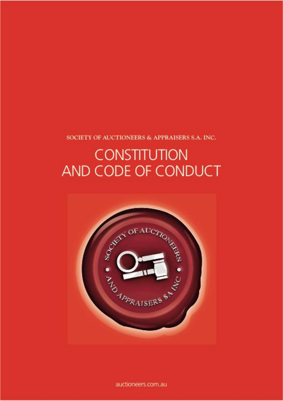SOCIETY OF AUCTIONEERS & APPRAISERS S.A. INC.

# **CONSTITUTION** AND CODE OF CONDUCT



auctioneers.com.au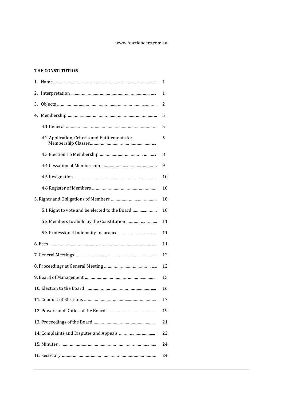#### www.Auctioneers.com.au

# **THE CONSTITUTION**

| 1. |                                                | 1  |  |
|----|------------------------------------------------|----|--|
| 2. |                                                | 1  |  |
| 3. |                                                | 2  |  |
| 4. |                                                | 5  |  |
|    |                                                | 5  |  |
|    | 4.2 Application, Criteria and Entitlements for | 5  |  |
|    |                                                | 8  |  |
|    |                                                | 9  |  |
|    |                                                | 10 |  |
|    |                                                | 10 |  |
|    |                                                | 10 |  |
|    | 5.1 Right to vote and be elected to the Board  | 10 |  |
|    |                                                | 11 |  |
|    |                                                | 11 |  |
|    |                                                |    |  |
|    |                                                | 12 |  |
|    |                                                | 12 |  |
|    |                                                | 15 |  |
|    |                                                | 16 |  |
|    |                                                | 17 |  |
|    |                                                |    |  |
|    |                                                | 21 |  |
|    |                                                | 22 |  |
|    |                                                |    |  |
|    |                                                |    |  |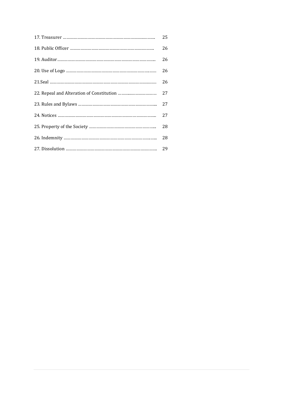| 25 |
|----|
| 26 |
| 26 |
| 26 |
| 26 |
| 27 |
| 27 |
| 27 |
| 28 |
| 28 |
|    |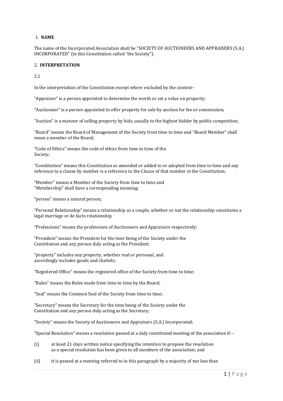## 1. **NAME**

The name of the Incorporated Association shall be "SOCIETY OF AUCTIONEERS AND APPRAISERS (S.A.) INCORPORATED" (in this Constitution called "the Society").

## 2. **INTERPRETATION**

2.1

In the interpretation of the Constitution except where excluded by the context–

"Appraiser" is a person appointed to determine the worth or set a value on property;

"Auctioneer" is a person appointed to offer property for sale by auction for fee or commission;

"Auction" is a manner of selling property by bids, usually to the highest bidder by public competition;

"Board" means the Board of Management of the Society from time to time and "Board Member" shall mean a member of the Board;

"Code of Ethics" means the code of ethics from time to time of the Society;

"Constitution" means this Constitution as amended or added to or adopted from time to time and any reference to a clause by number is a reference to the Clause of that number in the Constitution;

"Member" means a Member of the Society from time to time and "Membership" shall have a corresponding meaning;

"person" means a natural person;

"Personal Relationship" means a relationship as a couple, whether or not the relationship constitutes a legal marriage or de facto relationship.

"Professions" means the professions of Auctioneers and Appraisers respectively;

"President" means the President for the time being of the Society under the Constitution and any person duly acting as the President;

"property" includes any property, whether real or personal, and accordingly includes goods and chattels;

"Registered Office" means the registered office of the Society from time to time;

"Rules" means the Rules made from time to time by the Board;

"Seal" means the Common Seal of the Society from time to time;

"Secretary" means the Secretary for the time being of the Society under the Constitution and any person duly acting as the Secretary;

"Society" means the Society of Auctioneers and Appraisers (S.A.) Incorporated;

"Special Resolution" means a resolution passed at a duly constituted meeting of the association if:–

- (i) at least 21 days written notice specifying the intention to propose the resolution as a special resolution has been given to all members of the association; and
- (ii) it is passed at a meeting referred to in this paragraph by a majority of not less than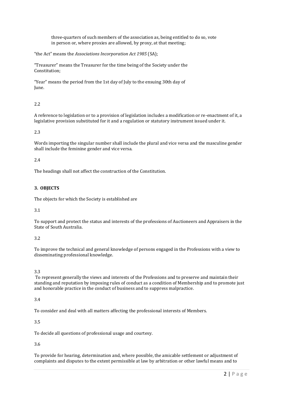three-quarters of such members of the association as, being entitled to do so, vote in person or, where proxies are allowed, by proxy, at that meeting;

"the Act" means the *Associations Incorporation Act 1985* (SA);

"Treasurer" means the Treasurer for the time being of the Society under the Constitution;

"Year" means the period from the 1st day of July to the ensuing 30th day of June.

# 2.2

A reference to legislation or to a provision of legislation includes a modification or re-enactment of it, a legislative provision substituted for it and a regulation or statutory instrument issued under it.

## 2.3

Words importing the singular number shall include the plural and vice versa and the masculine gender shall include the feminine gender and vice versa.

## 2.4

The headings shall not affect the construction of the Constitution.

## **3. OBJECTS**

The objects for which the Society is established are

## 3.1

To support and protect the status and interests of the professions of Auctioneers and Appraisers in the State of South Australia.

## 3.2

To improve the technical and general knowledge of persons engaged in the Professions with a view to disseminating professional knowledge.

## 3.3

To represent generally the views and interests of the Professions and to preserve and maintain their standing and reputation by imposing rules of conduct as a condition of Membership and to promote just and honorable practice in the conduct of business and to suppress malpractice.

## 3.4

To consider and deal with all matters affecting the professional interests of Members.

## 3.5

To decide all questions of professional usage and courtesy.

## 3.6

To provide for hearing, determination and, where possible, the amicable settlement or adjustment of complaints and disputes to the extent permissible at law by arbitration or other lawful means and to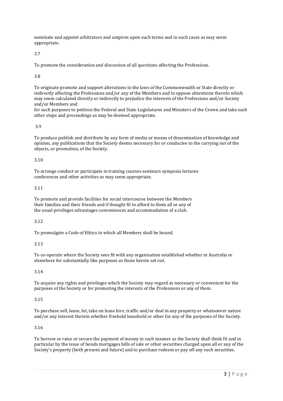nominate and appoint arbitrators and umpires upon such terms and in such cases as may seem appropriate.

3.7

To promote the consideration and discussion of all questions affecting the Professions.

3.8

To originate promote and support alterations to the laws of the Commonwealth or State directly or indirectly affecting the Professions and/or any of the Members and to oppose alterations thereto which may seem calculated directly or indirectly to prejudice the interests of the Professions and/or Society and/or Members and

for such purposes to petition the Federal and State Legislatures and Ministers of the Crown and take such other steps and proceedings as may be deemed appropriate.

## 3.9

To produce publish and distribute by any form of media or means of dissemination of knowledge and opinion, any publications that the Society deems necessary for or conducive to the carrying out of the objects, or promotion, of the Society.

## 3.10

To arrange conduct or participate in training courses seminars symposia lectures conferences and other activities as may seem appropriate.

## 3.11

To promote and provide facilities for social intercourse between the Members their families and their friends and if thought fit to afford to them all or any of the usual privileges advantages conveniences and accommodation of a club.

## 3.12

To promulgate a Code of Ethics to which all Members shall be bound.

## 3.13

To co-operate where the Society sees fit with any organisation established whether in Australia or elsewhere for substantially like purposes as those herein set out.

## 3.14

To acquire any rights and privileges which the Society may regard as necessary or convenient for the purposes of the Society or for promoting the interests of the Professions or any of them.

# 3.15

To purchase sell, lease, let, take on lease hire, traffic and/or deal in any property or whatsoever nature and/or any interest therein whether freehold leasehold or other for any of the purposes of the Society.

# 3.16

To borrow or raise or secure the payment of money in such manner as the Society shall think fit and in particular by the issue of bonds mortgages bills of sale or other securities charged upon all or any of the Society's property (both present and future) and to purchase redeem or pay off any such securities.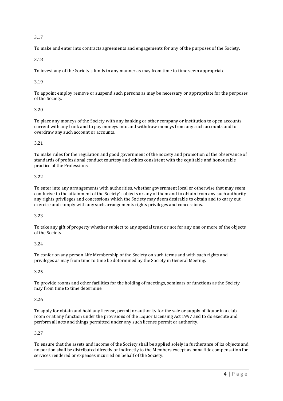To make and enter into contracts agreements and engagements for any of the purposes of the Society.

3.18

To invest any of the Society's funds in any manner as may from time to time seem appropriate

## 3.19

To appoint employ remove or suspend such persons as may be necessary or appropriate for the purposes of the Society.

## 3.20

To place any moneys of the Society with any banking or other company or institution to open accounts current with any bank and to pay moneys into and withdraw moneys from any such accounts and to overdraw any such account or accounts.

# 3.21

To make rules for the regulation and good government of the Society and promotion of the observance of standards of professional conduct courtesy and ethics consistent with the equitable and honourable practice of the Professions.

## 3.22

To enter into any arrangements with authorities, whether government local or otherwise that may seem conducive to the attainment of the Society's objects or any of them and to obtain from any such authority any rights privileges and concessions which the Society may deem desirable to obtain and to carry out exercise and comply with any such arrangements rights privileges and concessions.

## 3.23

To take any gift of property whether subject to any special trust or not for any one or more of the objects of the Society.

# 3.24

To confer on any person Life Membership of the Society on such terms and with such rights and privileges as may from time to time be determined by the Society in General Meeting.

## 3.25

To provide rooms and other facilities for the holding of meetings, seminars or functions as the Society may from time to time determine.

# 3.26

To apply for obtain and hold any license, permit or authority for the sale or supply of liquor in a club room or at any function under the provisions of the Liquor Licensing Act 1997 and to do execute and perform all acts and things permitted under any such license permit or authority.

# 3.27

To ensure that the assets and income of the Society shall be applied solely in furtherance of its objects and no portion shall be distributed directly or indirectly to the Members except as bona fide compensation for services rendered or expenses incurred on behalf of the Society.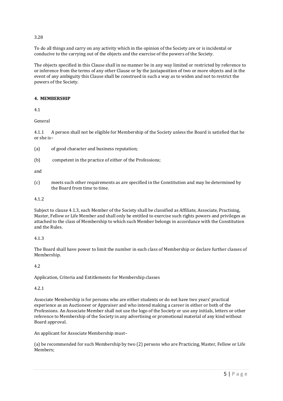To do all things and carry on any activity which in the opinion of the Society are or is incidental or conducive to the carrying out of the objects and the exercise of the powers of the Society.

The objects specified in this Clause shall in no manner be in any way limited or restricted by reference to or inference from the terms of any other Clause or by the juxtaposition of two or more objects and in the event of any ambiguity this Clause shall be construed in such a way as to widen and not to restrict the powers of the Society.

## **4. MEMBERSHIP**

4.1

General

4.1.1 A person shall not be eligible for Membership of the Society unless the Board is satisfied that he or she is–

- (a) of good character and business reputation;
- (b) competent in the practice of either of the Professions;

and

(c) meets such other requirements as are specified in the Constitution and may be determined by the Board from time to time.

#### 4.1.2

Subject to clause 4.1.3, each Member of the Society shall be classified as Affiliate, Associate, Practising, Master, Fellow or Life Member and shall only be entitled to exercise such rights powers and privileges as attached to the class of Membership to which such Member belongs in accordance with the Constitution and the Rules.

## 4.1.3

The Board shall have power to limit the number in each class of Membership or declare further classes of Membership.

## 4.2

Application, Criteria and Entitlements for Membership classes

## 4.2.1

Associate Membership is for persons who are either students or do not have two years' practical experience as an Auctioneer or Appraiser and who intend making a career in either or both of the Professions. An Associate Member shall not use the logo of the Society or use any initials, letters or other reference to Membership of the Society in any advertising or promotional material of any kind without Board approval.

An applicant for Associate Membership must–

(a) be recommended for such Membership by two (2) persons who are Practicing, Master, Fellow or Life Members;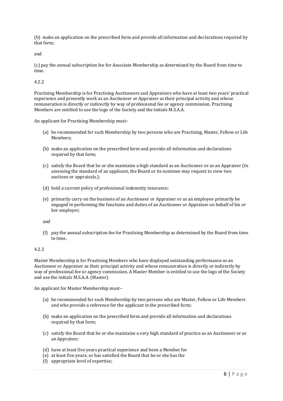(b) make an application on the prescribed form and provide all information and declarations required by that form;

and

(c) pay the annual subscription fee for Associate Membership as determined by the Board from time to time.

4.2.2

Practising Membership is for Practising Auctioneers and Appraisers who have at least two years' practical experience and presently work as an Auctioneer or Appraiser as their principal activity and whose remuneration is directly or indirectly by way of professional fee or agency commission. Practising Members are entitled to use the logo of the Society and the initials M.S.A.A.

An applicant for Practising Membership must–

- (a) be recommended for such Membership by two persons who are Practising, Master, Fellow or Life Members;
- (b) make an application on the prescribed form and provide all information and declarations required by that form;
- (c) satisfy the Board that he or she maintains a high standard as an Auctioneer or as an Appraiser (In assessing the standard of an applicant, the Board or its nominee may request to view two auctions or appraisals.);
- (d) hold a current policy of professional indemnity insurance;
- (e) primarily carry on the business of an Auctioneer or Appraiser or as an employee primarily be engaged in performing the functions and duties of an Auctioneer or Appraiser on behalf of his or her employer;

and

(f) pay the annual subscription fee for Practising Membership as determined by the Board from time to time.

## 4.2.3

Master Membership is for Practising Members who have displayed outstanding performance as an Auctioneer or Appraiser as their principal activity and whose remuneration is directly or indirectly by way of professional fee or agency commission. A Master Member is entitled to use the logo of the Society and use the initials M.S.A.A. (Master).

An applicant for Master Membership must–

- (a) be recommended for such Membership by two persons who are Master, Fellow or Life Members and who provide a reference for the applicant in the prescribed form;
- (b) make an application on the prescribed form and provide all information and declarations required by that form;
- (c) satisfy the Board that he or she maintains a very high standard of practice as an Auctioneer or as an Appraiser;
- (d) have at least five years practical experience and been a Member for
- (e) at least five years; or has satisfied the Board that he or she has the
- (f) appropriate level of expertise;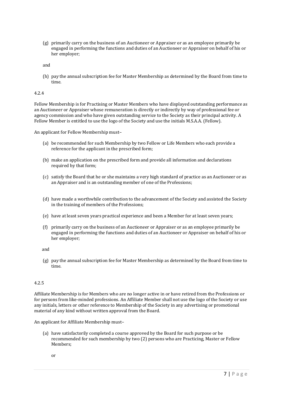(g) primarily carry on the business of an Auctioneer or Appraiser or as an employee primarily be engaged in performing the functions and duties of an Auctioneer or Appraiser on behalf of his or her employer;

and

(h) pay the annual subscription fee for Master Membership as determined by the Board from time to time.

#### 4.2.4

Fellow Membership is for Practising or Master Members who have displayed outstanding performance as an Auctioneer or Appraiser whose remuneration is directly or indirectly by way of professional fee or agency commission and who have given outstanding service to the Society as their principal activity. A Fellow Member is entitled to use the logo of the Society and use the initials M.S.A.A. (Fellow).

An applicant for Fellow Membership must–

- (a) be recommended for such Membership by two Fellow or Life Members who each provide a reference for the applicant in the prescribed form;
- (b) make an application on the prescribed form and provide all information and declarations required by that form;
- (c) satisfy the Board that he or she maintains a very high standard of practice as an Auctioneer or as an Appraiser and is an outstanding member of one of the Professions;
- (d) have made a worthwhile contribution to the advancement of the Society and assisted the Society in the training of members of the Professions;
- (e) have at least seven years practical experience and been a Member for at least seven years;
- (f) primarily carry on the business of an Auctioneer or Appraiser or as an employee primarily be engaged in performing the functions and duties of an Auctioneer or Appraiser on behalf of his or her employer;

and

(g) pay the annual subscription fee for Master Membership as determined by the Board from time to time.

#### 4.2.5

Affiliate Membership is for Members who are no longer active in or have retired from the Professions or for persons from like-minded professions. An Affiliate Member shall not use the logo of the Society or use any initials, letters or other reference to Membership of the Society in any advertising or promotional material of any kind without written approval from the Board.

An applicant for Affiliate Membership must–

(a) have satisfactorily completed a course approved by the Board for such purpose or be recommended for such membership by two (2) persons who are Practicing, Master or Fellow Members;

or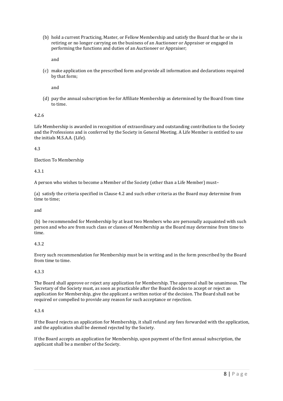(b) hold a current Practicing, Master, or Fellow Membership and satisfy the Board that he or she is retiring or no longer carrying on the business of an Auctioneer or Appraiser or engaged in performing the functions and duties of an Auctioneer or Appraiser;

and

(c) make application on the prescribed form and provide all information and declarations required by that form;

and

(d) pay the annual subscription fee for Affiliate Membership as determined by the Board from time to time.

#### 4.2.6

Life Membership is awarded in recognition of extraordinary and outstanding contribution to the Society and the Professions and is conferred by the Society in General Meeting. A Life Member is entitled to use the initials M.S.A.A. (Life).

4.3

Election To Membership

4.3.1

A person who wishes to become a Member of the Society (other than a Life Member) must–

(a) satisfy the criteria specified in Clause 4.2 and such other criteria as the Board may determine from time to time;

and

(b) be recommended for Membership by at least two Members who are personally acquainted with such person and who are from such class or classes of Membership as the Board may determine from time to time.

## 4.3.2

Every such recommendation for Membership must be in writing and in the form prescribed by the Board from time to time.

#### 4.3.3

The Board shall approve or reject any application for Membership. The approval shall be unanimous. The Secretary of the Society must, as soon as practicable after the Board decides to accept or reject an application for Membership, give the applicant a written notice of the decision. The Board shall not be required or compelled to provide any reason for such acceptance or rejection.

#### 4.3.4

If the Board rejects an application for Membership, it shall refund any fees forwarded with the application, and the application shall be deemed rejected by the Society.

If the Board accepts an application for Membership, upon payment of the first annual subscription, the applicant shall be a member of the Society.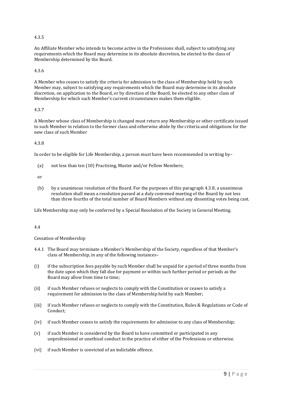## 4.3.5

An Affiliate Member who intends to become active in the Professions shall, subject to satisfying any requirements which the Board may determine in its absolute discretion, be elected to the class of Membership determined by the Board.

#### 4.3.6

A Member who ceases to satisfy the criteria for admission to the class of Membership held by such Member may, subject to satisfying any requirements which the Board may determine in its absolute discretion, on application to the Board, or by direction of the Board, be elected to any other class of Membership for which such Member's current circumstances makes them eligible.

## 4.3.7

A Member whose class of Membership is changed must return any Membership or other certificate issued to such Member in relation to the former class and otherwise abide by the criteria and obligations for the new class of such Member

#### 4.3.8

In order to be eligible for Life Membership, a person must have been recommended in writing by–

(a) not less than ten (10) Practising, Master and/or Fellow Members;

or

(b) by a unanimous resolution of the Board. For the purposes of this paragraph 4.3.8, a unanimous resolution shall mean a resolution passed at a duly convened meeting of the Board by not less than three fourths of the total number of Board Members without any dissenting votes being cast.

Life Membership may only be conferred by a Special Resolution of the Society in General Meeting.

## 4.4

#### Cessation of Membership

- 4.4.1 The Board may terminate a Member's Membership of the Society, regardless of that Member's class of Membership, in any of the following instances–
- (i) if the subscription fees payable by such Member shall be unpaid for a period of three months from the date upon which they fall due for payment or within such further period or periods as the Board may allow from time to time;
- (ii) if such Member refuses or neglects to comply with the Constitution or ceases to satisfy a requirement for admission to the class of Membership held by such Member;
- (iii) if such Member refuses or neglects to comply with the Constitution, Rules & Regulations or Code of Conduct;
- (iv) if such Member ceases to satisfy the requirements for admission to any class of Membership;
- (v) if such Member is considered by the Board to have committed or participated in any unprofessional or unethical conduct in the practice of either of the Professions or otherwise.
- (vi) if such Member is convicted of an indictable offence.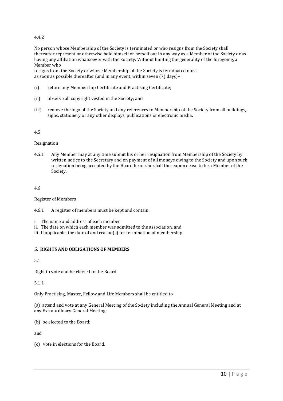# 4.4.2

No person whose Membership of the Society is terminated or who resigns from the Society shall thereafter represent or otherwise hold himself or herself out in any way as a Member of the Society or as having any affiliation whatsoever with the Society. Without limiting the generality of the foregoing, a Member who

resigns from the Society or whose Membership of the Society is terminated must as soon as possible thereafter (and in any event, within seven (7) days)–

- (i) return any Membership Certificate and Practising Certificate;
- (ii) observe all copyright vested in the Society; and
- (iii) remove the logo of the Society and any references to Membership of the Society from all buildings, signs, stationery or any other displays, publications or electronic media.

#### 4.5

#### Resignation

4.5.1 Any Member may at any time submit his or her resignation from Membership of the Society by written notice to the Secretary and on payment of all moneys owing to the Society and upon such resignation being accepted by the Board he or she shall thereupon cease to be a Member of the Society.

#### 4.6

Register of Members

- 4.6.1 A register of members must be kept and contain:
- i. The name and address of each member
- ii. The date on which each member was admitted to the association, and
- iii. If applicable, the date of and reason(s) for termination of membership.

## **5. RIGHTS AND OBLIGATIONS OF MEMBERS**

## 5.1

Right to vote and be elected to the Board

5.1.1

Only Practising, Master, Fellow and Life Members shall be entitled to–

(a) attend and vote at any General Meeting of the Society including the Annual General Meeting and at any Extraordinary General Meeting;

(b) be elected to the Board;

and

(c) vote in elections for the Board.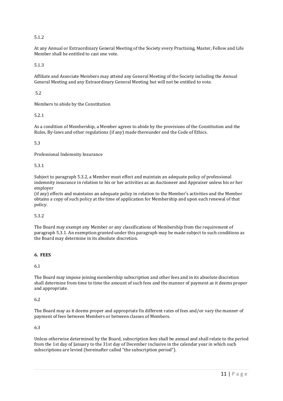# 5.1.2

At any Annual or Extraordinary General Meeting of the Society every Practising, Master, Fellow and Life Member shall be entitled to cast one vote.

5.1.3

Affiliate and Associate Members may attend any General Meeting of the Society including the Annual General Meeting and any Extraordinary General Meeting but will not be entitled to vote.

5.2

Members to abide by the Constitution

## 5.2.1

As a condition of Membership, a Member agrees to abide by the provisions of the Constitution and the Rules, By-laws and other regulations (if any) made thereunder and the Code of Ethics.

## 5.3

Professional Indemnity Insurance

#### 5.3.1

Subject to paragraph 5.3.2, a Member must effect and maintain an adequate policy of professional indemnity insurance in relation to his or her activities as an Auctioneer and Appraiser unless his or her employer

(if any) effects and maintains an adequate policy in relation to the Member's activities and the Member obtains a copy of such policy at the time of application for Membership and upon each renewal of that policy.

## 5.3.2

The Board may exempt any Member or any classifications of Membership from the requirement of paragraph 5.3.1. An exemption granted under this paragraph may be made subject to such conditions as the Board may determine in its absolute discretion.

## **6. FEES**

6.1

The Board may impose joining membership subscription and other fees and in its absolute discretion shall determine from time to time the amount of such fees and the manner of payment as it deems proper and appropriate.

## 6.2

The Board may as it deems proper and appropriate fix different rates of fees and/or vary the manner of payment of fees between Members or between classes of Members.

## 6.3

Unless otherwise determined by the Board, subscription fees shall be annual and shall relate to the period from the 1st day of January to the 31st day of December inclusive in the calendar year in which such subscriptions are levied (hereinafter called "the subscription period").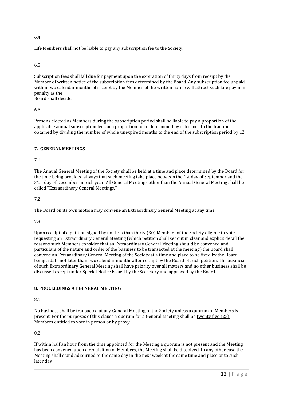Life Members shall not be liable to pay any subscription fee to the Society.

#### 6.5

Subscription fees shall fall due for payment upon the expiration of thirty days from receipt by the Member of written notice of the subscription fees determined by the Board. Any subscription fee unpaid within two calendar months of receipt by the Member of the written notice will attract such late payment penalty as the

Board shall decide.

#### 6.6

Persons elected as Members during the subscription period shall be liable to pay a proportion of the applicable annual subscription fee such proportion to be determined by reference to the fraction obtained by dividing the number of whole unexpired months to the end of the subscription period by 12.

## **7. GENERAL MEETINGS**

## 7.1

The Annual General Meeting of the Society shall be held at a time and place determined by the Board for the time being provided always that such meeting take place between the 1st day of September and the 31st day of December in each year. All General Meetings other than the Annual General Meeting shall be called "Extraordinary General Meetings."

#### 7.2

The Board on its own motion may convene an Extraordinary General Meeting at any time.

## 7.3

Upon receipt of a petition signed by not less than thirty (30) Members of the Society eligible to vote requesting an Extraordinary General Meeting (which petition shall set out in clear and explicit detail the reasons such Members consider that an Extraordinary General Meeting should be convened and particulars of the nature and order of the business to be transacted at the meeting) the Board shall convene an Extraordinary General Meeting of the Society at a time and place to be fixed by the Board being a date not later than two calendar months after receipt by the Board of such petition. The business of such Extraordinary General Meeting shall have priority over all matters and no other business shall be discussed except under Special Notice issued by the Secretary and approved by the Board.

## **8. PROCEEDINGS AT GENERAL MEETING**

# 8.1

No business shall be transacted at any General Meeting of the Society unless a quorum of Members is present. For the purposes of this clause a quorum for a General Meeting shall be twenty five (25) Members entitled to vote in person or by proxy.

## 8.2

If within half an hour from the time appointed for the Meeting a quorum is not present and the Meeting has been convened upon a requisition of Members, the Meeting shall be dissolved. In any other case the Meeting shall stand adjourned to the same day in the next week at the same time and place or to such later day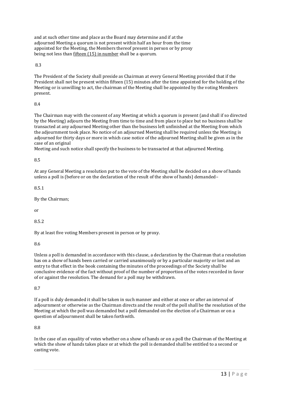and at such other time and place as the Board may determine and if at the adjourned Meeting a quorum is not present within half an hour from the time appointed for the Meeting, the Members thereof present in person or by proxy being not less than fifteen (15) in number shall be a quorum.

8.3

The President of the Society shall preside as Chairman at every General Meeting provided that if the President shall not be present within fifteen (15) minutes after the time appointed for the holding of the Meeting or is unwilling to act, the chairman of the Meeting shall be appointed by the voting Members present.

8.4

The Chairman may with the consent of any Meeting at which a quorum is present (and shall if so directed by the Meeting) adjourn the Meeting from time to time and from place to place but no business shall be transacted at any adjourned Meeting other than the business left unfinished at the Meeting from which the adjournment took place. No notice of an adjourned Meeting shall be required unless the Meeting is adjourned for thirty days or more in which case notice of the adjourned Meeting shall be given as in the case of an original

Meeting and such notice shall specify the business to be transacted at that adjourned Meeting.

8.5

At any General Meeting a resolution put to the vote of the Meeting shall be decided on a show of hands unless a poll is (before or on the declaration of the result of the show of hands) demanded–

8.5.1

By the Chairman;

or

8.5.2

By at least five voting Members present in person or by proxy.

8.6

Unless a poll is demanded in accordance with this clause, a declaration by the Chairman that a resolution has on a show of hands been carried or carried unanimously or by a particular majority or lost and an entry to that effect in the book containing the minutes of the proceedings of the Society shall be conclusive evidence of the fact without proof of the number of proportion of the votes recorded in favor of or against the resolution. The demand for a poll may be withdrawn.

8.7

If a poll is duly demanded it shall be taken in such manner and either at once or after an interval of adjournment or otherwise as the Chairman directs and the result of the poll shall be the resolution of the Meeting at which the poll was demanded but a poll demanded on the election of a Chairman or on a question of adjournment shall be taken forthwith.

8.8

In the case of an equality of votes whether on a show of hands or on a poll the Chairman of the Meeting at which the show of hands takes place or at which the poll is demanded shall be entitled to a second or casting vote.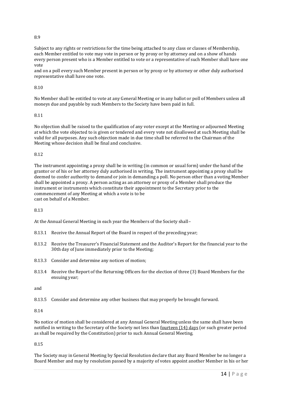Subject to any rights or restrictions for the time being attached to any class or classes of Membership, each Member entitled to vote may vote in person or by proxy or by attorney and on a show of hands every person present who is a Member entitled to vote or a representative of such Member shall have one vote

and on a poll every such Member present in person or by proxy or by attorney or other duly authorised representative shall have one vote.

## 8.10

No Member shall be entitled to vote at any General Meeting or in any ballot or poll of Members unless all moneys due and payable by such Members to the Society have been paid in full.

#### 8.11

No objection shall be raised to the qualification of any voter except at the Meeting or adjourned Meeting at which the vote objected to is given or tendered and every vote not disallowed at such Meeting shall be valid for all purposes. Any such objection made in due time shall be referred to the Chairman of the Meeting whose decision shall be final and conclusive.

## 8.12

The instrument appointing a proxy shall be in writing (in common or usual form) under the hand of the grantor or of his or her attorney duly authorised in writing. The instrument appointing a proxy shall be deemed to confer authority to demand or join in demanding a poll. No person other than a voting Member shall be appointed a proxy. A person acting as an attorney or proxy of a Member shall produce the instrument or instruments which constitute their appointment to the Secretary prior to the commencement of any Meeting at which a vote is to be cast on behalf of a Member.

## 8.13

At the Annual General Meeting in each year the Members of the Society shall–

- 8.13.1 Receive the Annual Report of the Board in respect of the preceding year;
- 8.13.2 Receive the Treasurer's Financial Statement and the Auditor's Report for the financial year to the 30th day of June immediately prior to the Meeting;
- 8.13.3 Consider and determine any notices of motion;
- 8.13.4 Receive the Report of the Returning Officers for the election of three (3) Board Members for the ensuing year;

and

8.13.5 Consider and determine any other business that may properly be brought forward.

#### 8.14

No notice of motion shall be considered at any Annual General Meeting unless the same shall have been notified in writing to the Secretary of the Society not less than fourteen (14) days (or such greater period as shall be required by the Constitution) prior to such Annual General Meeting.

#### 8.15

The Society may in General Meeting by Special Resolution declare that any Board Member be no longer a Board Member and may by resolution passed by a majority of votes appoint another Member in his or her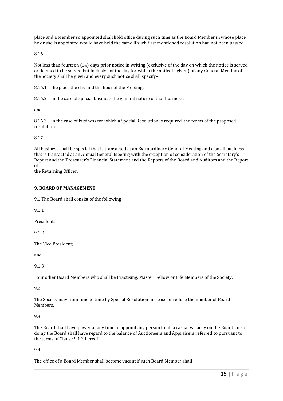place and a Member so appointed shall hold office during such time as the Board Member in whose place he or she is appointed would have held the same if such first mentioned resolution had not been passed.

8.16

Not less than fourteen (14) days prior notice in writing (exclusive of the day on which the notice is served or deemed to be served but inclusive of the day for which the notice is given) of any General Meeting of the Society shall be given and every such notice shall specify–

8.16.1 the place the day and the hour of the Meeting;

8.16.2 in the case of special business the general nature of that business;

and

8.16.3 in the case of business for which a Special Resolution is required, the terms of the proposed resolution.

8.17

All business shall be special that is transacted at an Extraordinary General Meeting and also all business that is transacted at an Annual General Meeting with the exception of consideration of the Secretary's Report and the Treasurer's Financial Statement and the Reports of the Board and Auditors and the Report of

the Returning Officer.

## **9. BOARD OF MANAGEMENT**

9.1 The Board shall consist of the following–

9.1.1

President;

9.1.2

The Vice President;

and

9.1.3

Four other Board Members who shall be Practising, Master, Fellow or Life Members of the Society.

9.2

The Society may from time to time by Special Resolution increase or reduce the number of Board Members.

## 9.3

The Board shall have power at any time to appoint any person to fill a casual vacancy on the Board. In so doing the Board shall have regard to the balance of Auctioneers and Appraisers referred to pursuant to the terms of Clause 9.1.2 hereof.

9.4

The office of a Board Member shall become vacant if such Board Member shall–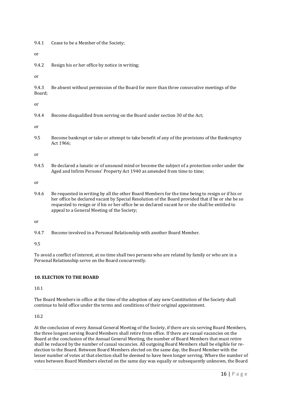9.4.1 Cease to be a Member of the Society;

or

9.4.2 Resign his or her office by notice in writing;

or

9.4.3 Be absent without permission of the Board for more than three consecutive meetings of the Board;

or

9.4.4 Become disqualified from serving on the Board under section 30 of the Act;

or

9.5 Become bankrupt or take or attempt to take benefit of any of the provisions of the Bankruptcy Act 1966;

or

9.4.5 Be declared a lunatic or of unsound mind or become the subject of a protection order under the Aged and Infirm Persons' Property Act 1940 as amended from time to time;

or

9.4.6 Be requested in writing by all the other Board Members for the time being to resign or if his or her office be declared vacant by Special Resolution of the Board provided that if he or she be so requested to resign or if his or her office be so declared vacant he or she shall be entitled to appeal to a General Meeting of the Society;

or

9.4.7 Become involved in a Personal Relationship with another Board Member.

9.5

To avoid a conflict of interest, at no time shall two persons who are related by family or who are in a Personal Relationship serve on the Board concurrently.

## **10. ELECTION TO THE BOARD**

10.1

The Board Members in office at the time of the adoption of any new Constitution of the Society shall continue to hold office under the terms and conditions of their original appointment.

10.2

At the conclusion of every Annual General Meeting of the Society, if there are six serving Board Members, the three longest serving Board Members shall retire from office. If there are casual vacancies on the Board at the conclusion of the Annual General Meeting, the number of Board Members that must retire shall be reduced by the number of casual vacancies. All outgoing Board Members shall be eligible for reelection to the Board. Between Board Members elected on the same day, the Board Member with the lesser number of votes at that election shall be deemed to have been longer serving. Where the number of votes between Board Members elected on the same day was equally or subsequently unknown, the Board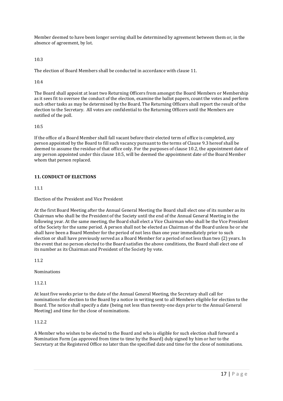Member deemed to have been longer serving shall be determined by agreement between them or, in the absence of agreement, by lot.

10.3

The election of Board Members shall be conducted in accordance with clause 11.

10.4

The Board shall appoint at least two Returning Officers from amongst the Board Members or Membership as it sees fit to oversee the conduct of the election, examine the ballot papers, count the votes and perform such other tasks as may be determined by the Board. The Returning Officers shall report the result of the election to the Secretary. All votes are confidential to the Returning Officers until the Members are notified of the poll.

## 10.5

If the office of a Board Member shall fall vacant before their elected term of office is completed, any person appointed by the Board to fill such vacancy pursuant to the terms of Clause 9.3 hereof shall be deemed to assume the residue of that office only. For the purposes of clause 10.2, the appointment date of any person appointed under this clause 10.5, will be deemed the appointment date of the Board Member whom that person replaced.

# **11. CONDUCT OF ELECTIONS**

11.1

Election of the President and Vice President

At the first Board Meeting after the Annual General Meeting the Board shall elect one of its number as its Chairman who shall be the President of the Society until the end of the Annual General Meeting in the following year. At the same meeting, the Board shall elect a Vice Chairman who shall be the Vice President of the Society for the same period. A person shall not be elected as Chairman of the Board unless he or she shall have been a Board Member for the period of not less than one year immediately prior to such election or shall have previously served as a Board Member for a period of not less than two (2) years. In the event that no person elected to the Board satisfies the above conditions, the Board shall elect one of its number as its Chairman and President of the Society by vote.

11.2

Nominations

11.2.1

At least five weeks prior to the date of the Annual General Meeting, the Secretary shall call for nominations for election to the Board by a notice in writing sent to all Members eligible for election to the Board. The notice shall specify a date (being not less than twenty-one days prior to the Annual General Meeting) and time for the close of nominations.

# 11.2.2

A Member who wishes to be elected to the Board and who is eligible for such election shall forward a Nomination Form (as approved from time to time by the Board) duly signed by him or her to the Secretary at the Registered Office no later than the specified date and time for the close of nominations.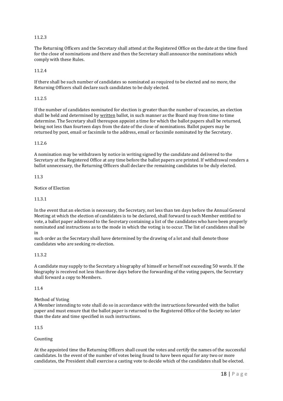## 11.2.3

The Returning Officers and the Secretary shall attend at the Registered Office on the date at the time fixed for the close of nominations and there and then the Secretary shall announce the nominations which comply with these Rules.

#### 11.2.4

If there shall be such number of candidates so nominated as required to be elected and no more, the Returning Officers shall declare such candidates to be duly elected.

#### 11.2.5

If the number of candidates nominated for election is greater than the number of vacancies, an election shall be held and determined by written ballot, in such manner as the Board may from time to time determine. The Secretary shall thereupon appoint a time for which the ballot papers shall be returned, being not less than fourteen days from the date of the close of nominations. Ballot papers may be returned by post, email or facsimile to the address, email or facsimile nominated by the Secretary.

## 11.2.6

A nomination may be withdrawn by notice in writing signed by the candidate and delivered to the Secretary at the Registered Office at any time before the ballot papers are printed. If withdrawal renders a ballot unnecessary, the Returning Officers shall declare the remaining candidates to be duly elected.

#### 11.3

#### Notice of Election

#### 11.3.1

In the event that an election is necessary, the Secretary, not less than ten days before the Annual General Meeting at which the election of candidates is to be declared, shall forward to each Member entitled to vote, a ballot paper addressed to the Secretary containing a list of the candidates who have been properly nominated and instructions as to the mode in which the voting is to occur. The list of candidates shall be in

such order as the Secretary shall have determined by the drawing of a lot and shall denote those candidates who are seeking re-election.

#### 11.3.2

A candidate may supply to the Secretary a biography of himself or herself not exceeding 50 words. If the biography is received not less than three days before the forwarding of the voting papers, the Secretary shall forward a copy to Members.

#### 11.4

#### Method of Voting

A Member intending to vote shall do so in accordance with the instructions forwarded with the ballot paper and must ensure that the ballot paper is returned to the Registered Office of the Society no later than the date and time specified in such instructions.

#### 11.5

#### Counting

At the appointed time the Returning Officers shall count the votes and certify the names of the successful candidates. In the event of the number of votes being found to have been equal for any two or more candidates, the President shall exercise a casting vote to decide which of the candidates shall be elected.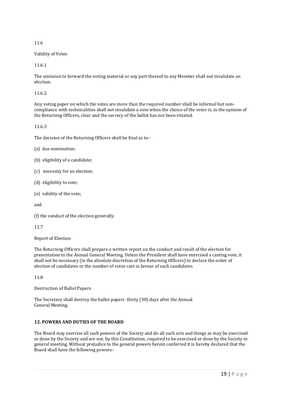## Validity of Votes

11.6.1

The omission to forward the voting material or any part thereof to any Member shall not invalidate an election.

## 11.6.2

Any voting paper on which the votes are more than the required number shall be informal but noncompliance with technicalities shall not invalidate a vote when the choice of the voter is, in the opinion of the Returning Officers, clear and the secrecy of the ballot has not been vitiated.

## 11.6.3

The decision of the Returning Officers shall be final as to–

- (a) due nomination;
- (b) eligibility of a candidate;
- (c) necessity for an election;
- (d) eligibility to vote;
- (e) validity of the vote;

and

(f) the conduct of the election generally.

## 11.7

Report of Election

The Returning Officers shall prepare a written report on the conduct and result of the election for presentation to the Annual General Meeting. Unless the President shall have exercised a casting vote, it shall not be necessary (in the absolute discretion of the Returning Officers) to declare the order of election of candidates or the number of votes cast in favour of such candidates.

11.8

Destruction of Ballot Papers

The Secretary shall destroy the ballot papers thirty (30) days after the Annual General Meeting.

# **12. POWERS AND DUTIES OF THE BOARD**

The Board may exercise all such powers of the Society and do all such acts and things as may be exercised or done by the Society and are not, by this Constitution, required to be exercised or done by the Society in general meeting. Without prejudice to the general powers herein conferred it is hereby declared that the Board shall have the following powers–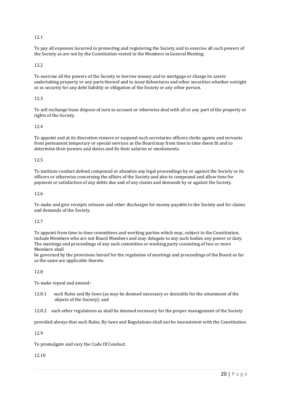To pay all expenses incurred in promoting and registering the Society and to exercise all such powers of the Society as are not by the Constitution vested in the Members in General Meeting.

## 12.2

To exercise all the powers of the Society to borrow money and to mortgage or charge its assets undertaking property or any parts thereof and to issue debentures and other securities whether outright or as security for any debt liability or obligation of the Society or any other person.

## 12.3

To sell exchange lease dispose of turn to account or otherwise deal with all or any part of the property or rights of the Society.

## 12.4

To appoint and at its discretion remove or suspend such secretaries officers clerks agents and servants from permanent temporary or special services as the Board may from time to time deem fit and to determine their powers and duties and fix their salaries or emoluments.

## 12.5

To institute conduct defend compound or abandon any legal proceedings by or against the Society or its officers or otherwise concerning the affairs of the Society and also to compound and allow time for payment or satisfaction of any debts due and of any claims and demands by or against the Society.

## 12.6

To make and give receipts releases and other discharges for money payable to the Society and for claims and demands of the Society.

## 12.7

To appoint from time to time committees and working parties which may, subject to the Constitution, include Members who are not Board Members and may delegate to any such bodies any power or duty. The meetings and proceedings of any such committee or working party consisting of two or more Members shall

be governed by the provisions hereof for the regulation of meetings and proceedings of the Board so far as the same are applicable thereto.

## 12.8

To make repeal and amend–

12.8.1 such Rules and By-laws (as may be deemed necessary or desirable for the attainment of the objects of the Society); and

12.8.2 such other regulations as shall be deemed necessary for the proper management of the Society

provided always that such Rules, By-laws and Regulations shall not be inconsistent with the Constitution.

12.9

To promulgate and vary the Code Of Conduct.

12.10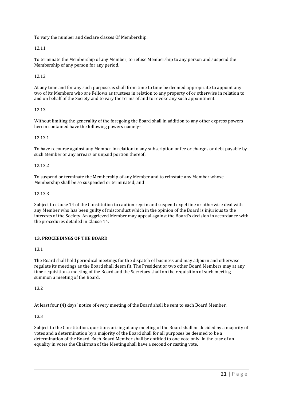To vary the number and declare classes Of Membership.

12.11

To terminate the Membership of any Member, to refuse Membership to any person and suspend the Membership of any person for any period.

## 12.12

At any time and for any such purpose as shall from time to time be deemed appropriate to appoint any two of its Members who are Fellows as trustees in relation to any property of or otherwise in relation to and on behalf of the Society and to vary the terms of and to revoke any such appointment.

## 12.13

Without limiting the generality of the foregoing the Board shall in addition to any other express powers herein contained have the following powers namely–

## 12.13.1

To have recourse against any Member in relation to any subscription or fee or charges or debt payable by such Member or any arrears or unpaid portion thereof;

## 12.13.2

To suspend or terminate the Membership of any Member and to reinstate any Member whose Membership shall be so suspended or terminated; and

#### 12.13.3

Subject to clause 14 of the Constitution to caution reprimand suspend expel fine or otherwise deal with any Member who has been guilty of misconduct which in the opinion of the Board is injurious to the interests of the Society. An aggrieved Member may appeal against the Board's decision in accordance with the procedures detailed in Clause 14.

## **13. PROCEEDINGS OF THE BOARD**

13.1

The Board shall hold periodical meetings for the dispatch of business and may adjourn and otherwise regulate its meetings as the Board shall deem fit. The President or two other Board Members may at any time requisition a meeting of the Board and the Secretary shall on the requisition of such meeting summon a meeting of the Board.

13.2

At least four (4) days' notice of every meeting of the Board shall be sent to each Board Member.

## 13.3

Subject to the Constitution, questions arising at any meeting of the Board shall be decided by a majority of votes and a determination by a majority of the Board shall for all purposes be deemed to be a determination of the Board. Each Board Member shall be entitled to one vote only. In the case of an equality in votes the Chairman of the Meeting shall have a second or casting vote.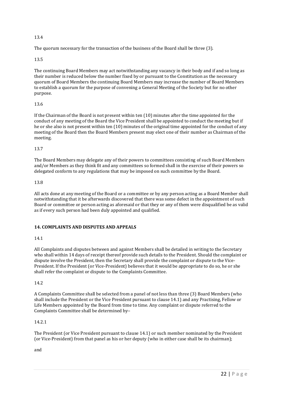The quorum necessary for the transaction of the business of the Board shall be three (3).

## 13.5

The continuing Board Members may act notwithstanding any vacancy in their body and if and so long as their number is reduced below the number fixed by or pursuant to the Constitution as the necessary quorum of Board Members the continuing Board Members may increase the number of Board Members to establish a quorum for the purpose of convening a General Meeting of the Society but for no other purpose.

## 13.6

If the Chairman of the Board is not present within ten (10) minutes after the time appointed for the conduct of any meeting of the Board the Vice President shall be appointed to conduct the meeting but if he or she also is not present within ten (10) minutes of the original time appointed for the conduct of any meeting of the Board then the Board Members present may elect one of their number as Chairman of the meeting.

## 13.7

The Board Members may delegate any of their powers to committees consisting of such Board Members and/or Members as they think fit and any committees so formed shall in the exercise of their powers so delegated conform to any regulations that may be imposed on such committee by the Board.

## 13.8

All acts done at any meeting of the Board or a committee or by any person acting as a Board Member shall notwithstanding that it be afterwards discovered that there was some defect in the appointment of such Board or committee or person acting as aforesaid or that they or any of them were disqualified be as valid as if every such person had been duly appointed and qualified.

# **14. COMPLAINTS AND DISPUTES AND APPEALS**

# 14.1

All Complaints and disputes between and against Members shall be detailed in writing to the Secretary who shall within 14 days of receipt thereof provide such details to the President. Should the complaint or dispute involve the President, then the Secretary shall provide the complaint or dispute to the Vice-President. If the President (or Vice-President) believes that it would be appropriate to do so, he or she shall refer the complaint or dispute to the Complaints Committee.

## 14.2

A Complaints Committee shall be selected from a panel of not less than three (3) Board Members (who shall include the President or the Vice President pursuant to clause 14.1) and any Practising, Fellow or Life Members appointed by the Board from time to time. Any complaint or dispute referred to the Complaints Committee shall be determined by–

## 14.2.1

The President (or Vice President pursuant to clause 14.1) or such member nominated by the President (or Vice-President) from that panel as his or her deputy (who in either case shall be its chairman);

and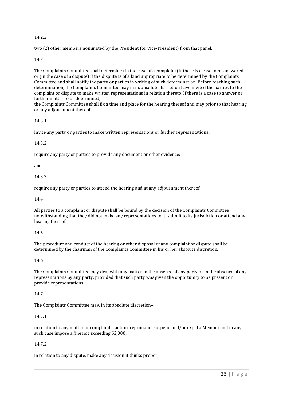# 14.2.2

two (2) other members nominated by the President (or Vice-President) from that panel.

# 14.3

The Complaints Committee shall determine (in the case of a complaint) if there is a case to be answered or (in the case of a dispute) if the dispute is of a kind appropriate to be determined by the Complaints Committee and shall notify the party or parties in writing of such determination. Before reaching such determination, the Complaints Committee may in its absolute discretion have invited the parties to the complaint or dispute to make written representations in relation thereto. If there is a case to answer or further matter to be determined,

the Complaints Committee shall fix a time and place for the hearing thereof and may prior to that hearing or any adjournment thereof–

## 14.3.1

invite any party or parties to make written representations or further representations;

## 14.3.2

require any party or parties to provide any document or other evidence;

and

14.3.3

require any party or parties to attend the hearing and at any adjournment thereof.

#### 14.4

All parties to a complaint or dispute shall be bound by the decision of the Complaints Committee notwithstanding that they did not make any representations to it, submit to its jurisdiction or attend any hearing thereof.

## 14.5

The procedure and conduct of the hearing or other disposal of any complaint or dispute shall be determined by the chairman of the Complaints Committee in his or her absolute discretion.

## 14.6

The Complaints Committee may deal with any matter in the absence of any party or in the absence of any representations by any party, provided that such party was given the opportunity to be present or provide representations.

## 14.7

The Complaints Committee may, in its absolute discretion–

## 14.7.1

in relation to any matter or complaint, caution, reprimand, suspend and/or expel a Member and in any such case impose a fine not exceeding \$2,000;

## 14.7.2

in relation to any dispute, make any decision it thinks proper;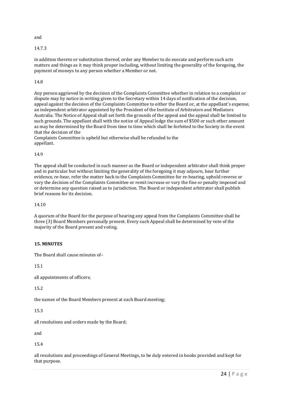and

14.7.3

in addition thereto or substitution thereof, order any Member to do execute and perform such acts matters and things as it may think proper including, without limiting the generality of the foregoing, the payment of moneys to any person whether a Member or not.

# 14.8

Any person aggrieved by the decision of the Complaints Committee whether in relation to a complaint or dispute may by notice in writing given to the Secretary within 14 days of notification of the decision, appeal against the decision of the Complaints Committee to either the Board or, at the appellant's expense, an independent arbitrator appointed by the President of the Institute of Arbitrators and Mediators Australia. The Notice of Appeal shall set forth the grounds of the appeal and the appeal shall be limited to such grounds. The appellant shall with the notice of Appeal lodge the sum of \$500 or such other amount as may be determined by the Board from time to time which shall be forfeited to the Society in the event that the decision of the

Complaints Committee is upheld but otherwise shall be refunded to the appellant.

## 14.9

The appeal shall be conducted in such manner as the Board or independent arbitrator shall think proper and in particular but without limiting the generality of the foregoing it may adjourn, hear further evidence, re-hear, refer the matter back to the Complaints Committee for re-hearing, uphold reverse or vary the decision of the Complaints Committee or remit increase or vary the fine or penalty imposed and or determine any question raised as to jurisdiction. The Board or independent arbitrator shall publish brief reasons for its decision.

14.10

A quorum of the Board for the purpose of hearing any appeal from the Complaints Committee shall be three (3) Board Members personally present. Every such Appeal shall be determined by vote of the majority of the Board present and voting.

# **15. MINUTES**

The Board shall cause minutes of–

15.1

all appointments of officers;

15.2

the names of the Board Members present at each Board meeting;

15.3

all resolutions and orders made by the Board;

and

15.4

all resolutions and proceedings of General Meetings, to be duly entered in books provided and kept for that purpose.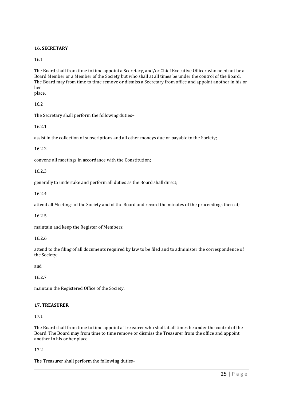# **16. SECRETARY**

16.1

The Board shall from time to time appoint a Secretary, and/or Chief Executive Officer who need not be a Board Member or a Member of the Society but who shall at all times be under the control of the Board. The Board may from time to time remove or dismiss a Secretary from office and appoint another in his or her place.

16.2

The Secretary shall perform the following duties–

16.2.1

assist in the collection of subscriptions and all other moneys due or payable to the Society;

16.2.2

convene all meetings in accordance with the Constitution;

16.2.3

generally to undertake and perform all duties as the Board shall direct;

16.2.4

attend all Meetings of the Society and of the Board and record the minutes of the proceedings thereat;

16.2.5

maintain and keep the Register of Members;

16.2.6

attend to the filing of all documents required by law to be filed and to administer the correspondence of the Society;

and

16.2.7

maintain the Registered Office of the Society.

## **17. TREASURER**

17.1

The Board shall from time to time appoint a Treasurer who shall at all times be under the control of the Board. The Board may from time to time remove or dismiss the Treasurer from the office and appoint another in his or her place.

## 17.2

The Treasurer shall perform the following duties–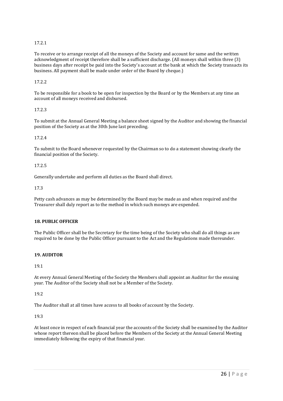# 17.2.1

To receive or to arrange receipt of all the moneys of the Society and account for same and the written acknowledgment of receipt therefore shall be a sufficient discharge. (All moneys shall within three (3) business days after receipt be paid into the Society's account at the bank at which the Society transacts its business. All payment shall be made under order of the Board by cheque.)

17.2.2

To be responsible for a book to be open for inspection by the Board or by the Members at any time an account of all moneys received and disbursed.

## 17.2.3

To submit at the Annual General Meeting a balance sheet signed by the Auditor and showing the financial position of the Society as at the 30th June last preceding.

#### 17.2.4

To submit to the Board whenever requested by the Chairman so to do a statement showing clearly the financial position of the Society.

#### 17.2.5

Generally undertake and perform all duties as the Board shall direct.

#### 17.3

Petty cash advances as may be determined by the Board may be made as and when required and the Treasurer shall duly report as to the method in which such moneys are expended.

#### **18. PUBLIC OFFICER**

The Public Officer shall be the Secretary for the time being of the Society who shall do all things as are required to be done by the Public Officer pursuant to the Act and the Regulations made thereunder.

## **19. AUDITOR**

19.1

At every Annual General Meeting of the Society the Members shall appoint an Auditor for the ensuing year. The Auditor of the Society shall not be a Member of the Society.

#### 19.2

The Auditor shall at all times have access to all books of account by the Society.

#### 19.3

At least once in respect of each financial year the accounts of the Society shall be examined by the Auditor whose report thereon shall be placed before the Members of the Society at the Annual General Meeting immediately following the expiry of that financial year.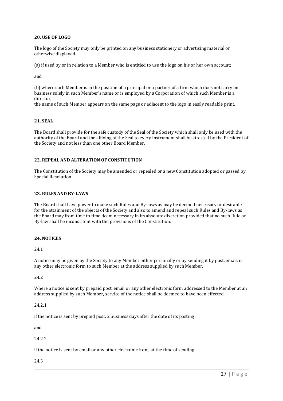#### **20. USE OF LOGO**

The logo of the Society may only be printed on any business stationery or advertising material or otherwise displayed-

(a) if used by or in relation to a Member who is entitled to use the logo on his or her own account;

and

(b) where such Member is in the position of a principal or a partner of a firm which does not carry on business solely in such Member's name or is employed by a Corporation of which such Member is a director,

the name of such Member appears on the same page or adjacent to the logo in easily readable print.

#### **21. SEAL**

The Board shall provide for the safe custody of the Seal of the Society which shall only be used with the authority of the Board and the affixing of the Seal to every instrument shall be attested by the President of the Society and not less than one other Board Member.

#### **22. REPEAL AND ALTERATION OF CONSTITUTION**

The Constitution of the Society may be amended or repealed or a new Constitution adopted or passed by Special Resolution.

#### **23. RULES AND BY-LAWS**

The Board shall have power to make such Rules and By-laws as may be deemed necessary or desirable for the attainment of the objects of the Society and also to amend and repeal such Rules and By-laws as the Board may from time to time deem necessary in its absolute discretion provided that no such Rule or By-law shall be inconsistent with the provisions of the Constitution.

## **24. NOTICES**

24.1

A notice may be given by the Society to any Member either personally or by sending it by post, email, or any other electronic form to such Member at the address supplied by such Member.

24.2

Where a notice is sent by prepaid post, email or any other electronic form addressed to the Member at an address supplied by such Member, service of the notice shall be deemed to have been effected–

24.2.1

if the notice is sent by prepaid post, 2 business days after the date of its posting;

and

24.2.2

if the notice is sent by email or any other electronic from, at the time of sending.

24.3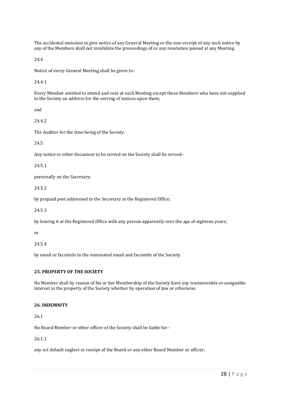The accidental omission to give notice of any General Meeting or the non-receipt of any such notice by any of the Members shall not invalidate the proceedings of or any resolution passed at any Meeting.

24.4

Notice of every General Meeting shall be given to–

24.4.1

Every Member entitled to attend and vote at such Meeting except those Members who have not supplied to the Society an address for the serving of notices upon them;

and

24.4.2

The Auditor for the time being of the Society.

24.5

Any notice or other document to be served on the Society shall be served–

24.5.1

personally on the Secretary;

24.5.2

by prepaid post addressed to the Secretary at the Registered Office;

24.5.3

by leaving it at the Registered Office with any person apparently over the age of eighteen years;

or

24.5.4

by email or facsimile to the nominated email and facsimile of the Society.

## **25. PROPERTY OF THE SOCIETY**

No Member shall by reason of his or her Membership of the Society have any transmissible or assignable interest in the property of the Society whether by operation of law or otherwise.

# **26. INDEMNITY**

26.1

No Board Member or other officer of the Society shall be liable for–

26.1.1

any act default neglect or receipt of the Board or any other Board Member or officer;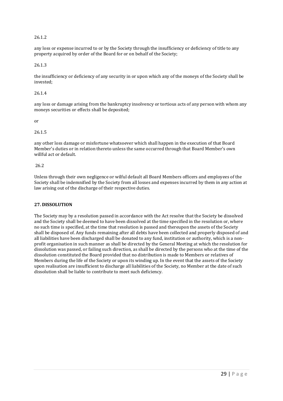## 26.1.2

any loss or expense incurred to or by the Society through the insufficiency or deficiency of title to any property acquired by order of the Board for or on behalf of the Society;

26.1.3

the insufficiency or deficiency of any security in or upon which any of the moneys of the Society shall be invested;

26.1.4

any loss or damage arising from the bankruptcy insolvency or tortious acts of any person with whom any moneys securities or effects shall be deposited;

or

26.1.5

any other loss damage or misfortune whatsoever which shall happen in the execution of that Board Member's duties or in relation thereto unless the same occurred through that Board Member's own willful act or default.

26.2

Unless through their own negligence or wilful default all Board Members officers and employees of the Society shall be indemnified by the Society from all losses and expenses incurred by them in any action at law arising out of the discharge of their respective duties.

#### **27. DISSOLUTION**

The Society may by a resolution passed in accordance with the Act resolve that the Society be dissolved and the Society shall be deemed to have been dissolved at the time specified in the resolution or, where no such time is specified, at the time that resolution is passed and thereupon the assets of the Society shall be disposed of. Any funds remaining after all debts have been collected and properly disposed of and all liabilities have been discharged shall be donated to any fund, institution or authority, which is a nonprofit organisation in such manner as shall be directed by the General Meeting at which the resolution for dissolution was passed, or failing such direction, as shall be directed by the persons who at the time of the dissolution constituted the Board provided that no distribution is made to Members or relatives of Members during the life of the Society or upon its winding up. In the event that the assets of the Society upon realisation are insufficient to discharge all liabilities of the Society, no Member at the date of such dissolution shall be liable to contribute to meet such deficiency.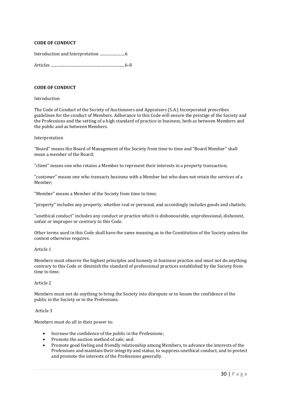## **CODE OF CONDUCT**

Introduction and Interpretation ..........................6

Articles ............................................................................6-8

#### **CODE OF CONDUCT**

#### Introduction

The Code of Conduct of the Society of Auctioneers and Appraisers (S.A.) Incorporated prescribes guidelines for the conduct of Members. Adherance to this Code will ensure the prestige of the Society and the Professions and the setting of a high standard of practice in business, both as between Members and the public and as between Members.

#### Interpretation

"Board" means the Board of Management of the Society from time to time and "Board Member" shall mean a member of the Board;

"client" means one who retains a Member to represent their interests in a property transaction;

"customer" means one who transacts business with a Member but who does not retain the services of a Member;

"Member" means a Member of the Society from time to time;

"property" includes any property, whether real or personal, and accordingly includes goods and chattels;

"unethical conduct" includes any conduct or practice which is dishonourable, unprofessional, dishonest, unfair or improper or contrary to this Code.

Other terms used in this Code shall have the same meaning as in the Constitution of the Society unless the context otherwise requires.

#### Article 1

Members must observe the highest principles and honesty in business practice and must not do anything contrary to this Code or diminish the standard of professional practices established by the Society from time to time.

#### Article 2

Members must not do anything to bring the Society into disrepute or to lessen the confidence of the public in the Society or in the Professions.

#### Article 3

Members must do all in their power to:

- Increase the confidence of the public in the Professions;
- Promote the auction method of sale; and
- Promote good feeling and friendly relationship among Members, to advance the interests of the Professions and maintain their integrity and status, to suppress unethical conduct, and to protect and promote the interests of the Professions generally.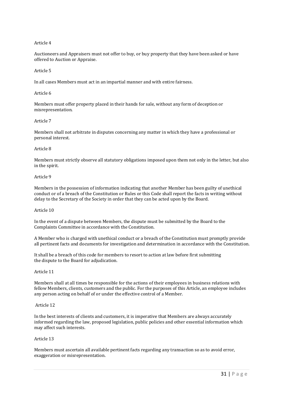#### Article 4

Auctioneers and Appraisers must not offer to buy, or buy property that they have been asked or have offered to Auction or Appraise.

#### Article 5

In all cases Members must act in an impartial manner and with entire fairness.

#### Article 6

Members must offer property placed in their hands for sale, without any form of deception or misrepresentation.

#### Article 7

Members shall not arbitrate in disputes concerning any matter in which they have a professional or personal interest.

#### Article 8

Members must strictly observe all statutory obligations imposed upon them not only in the letter, but also in the spirit.

#### Article 9

Members in the possession of information indicating that another Member has been guilty of unethical conduct or of a breach of the Constitution or Rules or this Code shall report the facts in writing without delay to the Secretary of the Society in order that they can be acted upon by the Board.

#### Article 10

In the event of a dispute between Members, the dispute must be submitted by the Board to the Complaints Committee in accordance with the Constitution.

A Member who is charged with unethical conduct or a breach of the Constitution must promptly provide all pertinent facts and documents for investigation and determination in accordance with the Constitution.

It shall be a breach of this code for members to resort to action at law before first submitting the dispute to the Board for adjudication.

#### Article 11

Members shall at all times be responsible for the actions of their employees in business relations with fellow Members, clients, customers and the public. For the purposes of this Article, an employee includes any person acting on behalf of or under the effective control of a Member.

#### Article 12

In the best interests of clients and customers, it is imperative that Members are always accurately informed regarding the law, proposed legislation, public policies and other essential information which may affect such interests.

#### Article 13

Members must ascertain all available pertinent facts regarding any transaction so as to avoid error, exaggeration or misrepresentation.